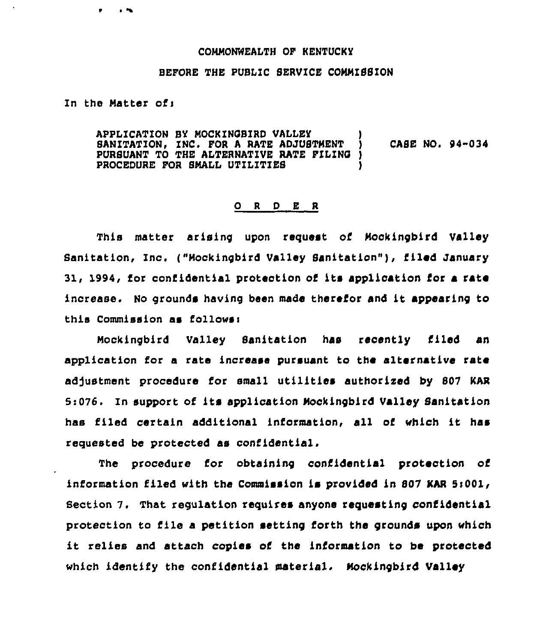## CONMONWEALTH OF KENTUCKY

## BEPORE THE PUBLIC SEAVZCE COMMISSION

In the Matter of:

APPLICATION BY NOCKINOBIRD VALLEY ) SANITATION, INC. FOR A RATE ADJUSTMENT ) CASE NO. 94-034 PURSUANT TO THE ALTERNATIVE RATE FILING )<br>PROCEDURE FOR SMALL UTILITIES PROCEDURE FOR SMALL UTILITIES

## 0 <sup>R</sup> <sup>D</sup> E <sup>A</sup>

This matter arising upon request of Mockingbird Valley Sanitation, Inc. ("Mockingbird Valley Sanitation"), filed January 31, 1994, for confidential protection of its application for a sate increase. No grounds having been made therefor and it appearing to this Commission as follows<

Nocklngbird Valley Sanitation has recently filed an application for a rate increase pursuant to the alternative rate adjustment procedure for small utilities authorized by 807 KAR 5:076. In support of its application Mockingbird Valley Sanitation has filed certain additional information, all of which it has requested be protected as confidential.

The procedure for obtaining confidential protection of information filed with the Commission is provided in 807 KAR 5:001, Section 7. That regulation sequises anyone requesting confidential protection to file <sup>a</sup> petition setting forth the grounds upon «hich it relies and attach copies of the information to be protected which identify the confidential material. Mockingbird Valley